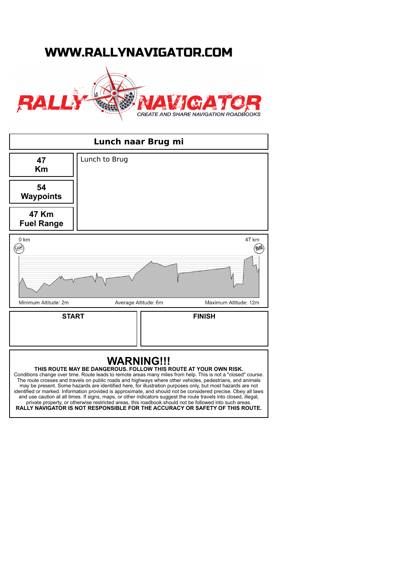## WWW.RALLYNAVIGATOR.COM





private property, or otherwise restricted areas, this roadbook should not be followed into such areas. **RALLY NAVIGATOR IS NOT RESPONSIBLE FOR THE ACCURACY OR SAFETY OF THIS ROUTE.**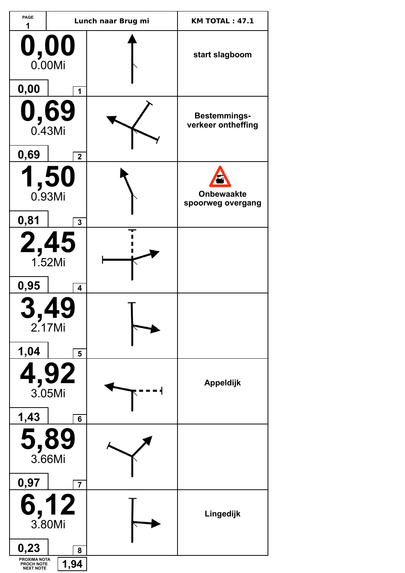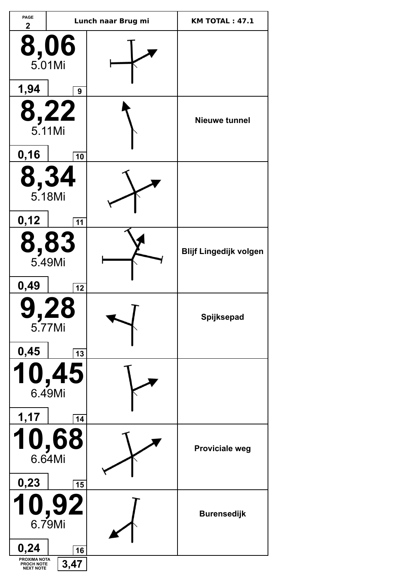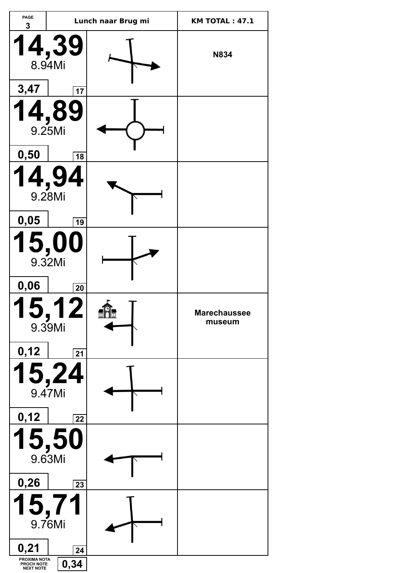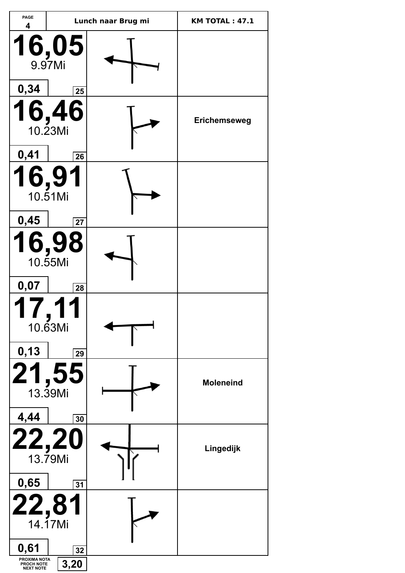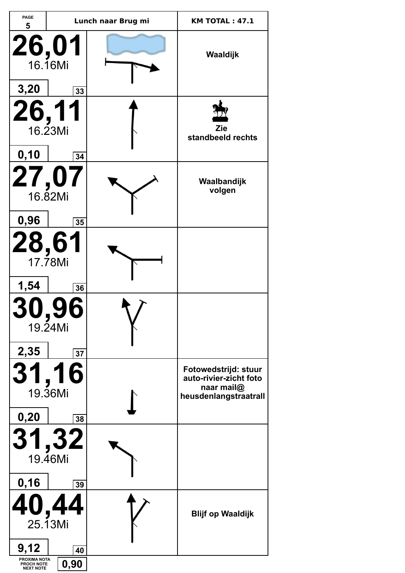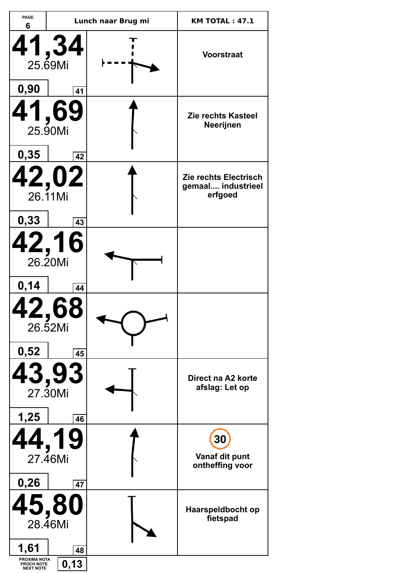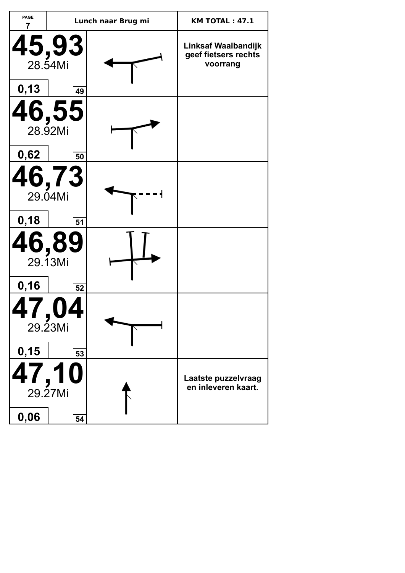